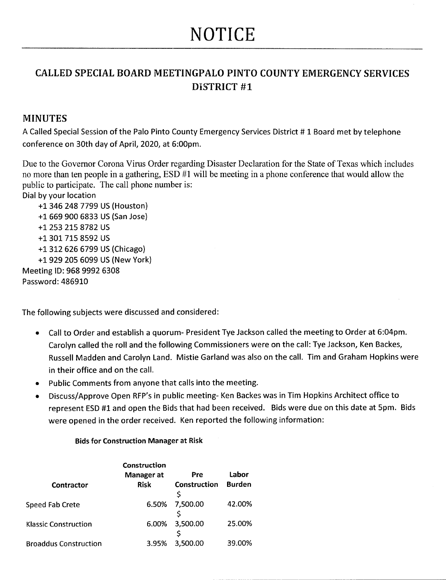## **NOTICE**

## CALLED SPECIAL BOARD MEETINGPALO PINTO COUNTY EMERGENCY SERVICES DISTRICT #1

## MINUTES

A Called Special Session of the Palo Pinto County Emergency Services District # 1 Board met by telephone conference on 30th day of April, 2020, at 6:00pm.

Due to the Governor Corona Virus Order regarding Disaster Declaration for the State of Texas which includes no more than ten people in a gathering, ESD #1 will be meeting in a phone conference that would allow the public to participate. The call phone number is:

Dialby your location

+1 346 248 7799 US (Houston) <sup>+</sup> 1 669 900 6833 US ( San Jose) <sup>+</sup> 1 253 215 8782 US +1 301 715 8592 US <sup>+</sup> 1 312 626 6799 US (Chicago ) +1 929 205 6099 US (New York) Meeting ID: 968 9992 6308 Password: 486910

The following subjects were discussed and considered :

- Call to Order and establish a quorum- President Tye Jackson called the meeting to Order at 6:04pm.  $\bullet$ Carolyn called the roll and the following Commissioners were on the call: Tye Jackson, Ken Backes, Russell Madden and Carolyn Land. Mistie Garland was also on the call. Tim and Graham Hopkins were in their office and on the call.
- Public Comments from anyone that calls into the meeting.  $\bullet$
- Discuss/Approve Open RFP's in public meeting- Ken Backes was in Tim Hopkins Architect office to represent ESD #1 and open the Bids that had been received. Bids were due on this date at 5pm. Bids were opened in the order received. Ken reported the following information:

## Bids for Construction Manager at Risk

| Contractor                   | Construction<br>Manager at<br><b>Risk</b> | Pre<br>Construction<br>Ś | Labor<br><b>Burden</b> |
|------------------------------|-------------------------------------------|--------------------------|------------------------|
| Speed Fab Crete              | 6.50%                                     | 7,500.00                 | 42.00%                 |
| <b>Klassic Construction</b>  | 6.00%                                     | 3,500.00                 | 25.00%                 |
| <b>Broaddus Construction</b> | 3.95%                                     | 3,500.00                 | 39.00%                 |